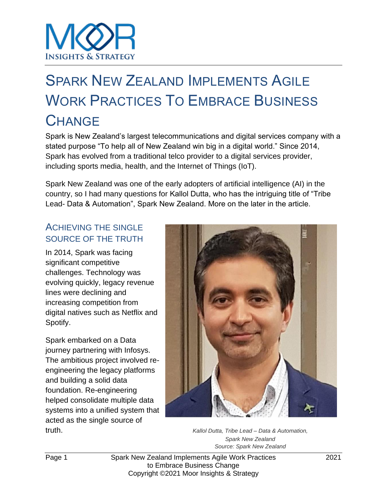

# SPARK NEW ZEALAND IMPLEMENTS AGILE WORK PRACTICES TO EMBRACE BUSINESS **CHANGE**

Spark is New Zealand's largest telecommunications and digital services company with a stated purpose "To help all of New Zealand win big in a digital world." Since 2014, Spark has evolved from a traditional telco provider to a digital services provider, including sports media, health, and the Internet of Things (IoT).

Spark New Zealand was one of the early adopters of artificial intelligence (AI) in the country, so I had many questions for Kallol Dutta, who has the intriguing title of "Tribe Lead- Data & Automation", Spark New Zealand. More on the later in the article.

# ACHIEVING THE SINGLE SOURCE OF THE TRUTH

In 2014, Spark was facing significant competitive challenges. Technology was evolving quickly, legacy revenue lines were declining and increasing competition from digital natives such as Netflix and Spotify.

Spark embarked on a Data journey partnering with Infosys. The ambitious project involved reengineering the legacy platforms and building a solid data foundation. Re-engineering helped consolidate multiple data systems into a unified system that acted as the single source of truth. *Kallol Dutta, Tribe Lead – Data & Automation,* 



*Spark New Zealand Source: Spark New Zealand*

Page 1 Spark New Zealand Implements Agile Work Practices 2021 to Embrace Business Change Copyright ©2021 Moor Insights & Strategy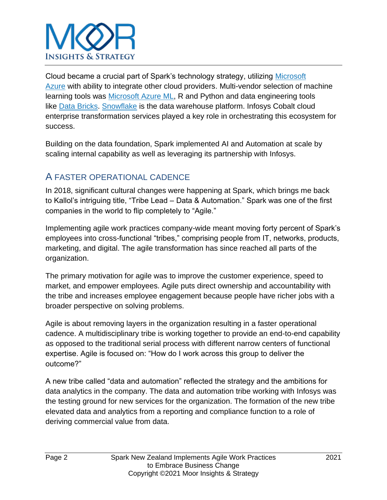

Cloud became a crucial part of Spark's technology strategy, utilizing [Microsoft](https://azure.microsoft.com/en-us/) [Azure](https://azure.microsoft.com/en-us/) with ability to integrate other cloud providers. Multi-vendor selection of machine learning tools was **[Microsoft](https://azure.microsoft.com/en-us/services/machine-learning/) Azure ML, R** and Python and data engineering tools like Data [Bricks.](https://databricks.com/try-databricks?utm_medium=cpc&utm_source=google&utm_campaign=14272820537&utm_offer=try-databricks&utm_content=trial&utm_term=databricks&utm_ad_group_c=CTX-Databricks-Core-E&gclid=Cj0KCQjw-NaJBhDsARIsAAja6dMZwDDKApxMNuHxdrW9QfOkhqPvApUdQHuLxmgsCkSUqoE9Nd6HPxAaAqhJEALw_wcB) [Snowflake](https://www.snowflake.com/) is the data warehouse platform. Infosys Cobalt cloud enterprise transformation services played a key role in orchestrating this ecosystem for success.

Building on the data foundation, Spark implemented AI and Automation at scale by scaling internal capability as well as leveraging its partnership with Infosys.

# A FASTER OPERATIONAL CADENCE

In 2018, significant cultural changes were happening at Spark, which brings me back to Kallol's intriguing title, "Tribe Lead – Data & Automation." Spark was one of the first companies in the world to flip completely to "Agile."

Implementing agile work practices company-wide meant moving forty percent of Spark's employees into cross-functional "tribes," comprising people from IT, networks, products, marketing, and digital. The agile transformation has since reached all parts of the organization.

The primary motivation for agile was to improve the customer experience, speed to market, and empower employees. Agile puts direct ownership and accountability with the tribe and increases employee engagement because people have richer jobs with a broader perspective on solving problems.

Agile is about removing layers in the organization resulting in a faster operational cadence. A multidisciplinary tribe is working together to provide an end-to-end capability as opposed to the traditional serial process with different narrow centers of functional expertise. Agile is focused on: "How do I work across this group to deliver the outcome?"

A new tribe called "data and automation" reflected the strategy and the ambitions for data analytics in the company. The data and automation tribe working with Infosys was the testing ground for new services for the organization. The formation of the new tribe elevated data and analytics from a reporting and compliance function to a role of deriving commercial value from data.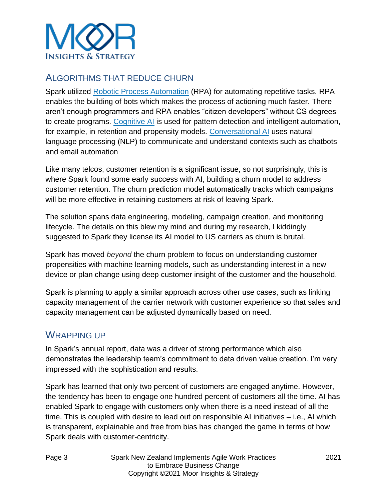

# ALGORITHMS THAT REDUCE CHURN

Spark utilized Robotic Process [Automation](https://www.infosys.com/industries/professional-services/offerings/robotic-process-automation.html) (RPA) for automating repetitive tasks. RPA enables the building of bots which makes the process of actioning much faster. There aren't enough programmers and RPA enables "citizen developers" without CS degrees to create programs. [Cognitive](https://www.infosys.com/services/applied-ai/insights/ai-automation-cognitive-solutions.html) AI is used for pattern detection and intelligent automation, for example, in retention and propensity models. [Conversational](https://www.infosys.com/insights/ai-automation/great-leveler.html) AI uses natural language processing (NLP) to communicate and understand contexts such as chatbots and email automation

Like many telcos, customer retention is a significant issue, so not surprisingly, this is where Spark found some early success with AI, building a churn model to address customer retention. The churn prediction model automatically tracks which campaigns will be more effective in retaining customers at risk of leaving Spark.

The solution spans data engineering, modeling, campaign creation, and monitoring lifecycle. The details on this blew my mind and during my research, I kiddingly suggested to Spark they license its AI model to US carriers as churn is brutal.

Spark has moved *beyond* the churn problem to focus on understanding customer propensities with machine learning models, such as understanding interest in a new device or plan change using deep customer insight of the customer and the household.

Spark is planning to apply a similar approach across other use cases, such as linking capacity management of the carrier network with customer experience so that sales and capacity management can be adjusted dynamically based on need.

# WRAPPING UP

In Spark's annual report, data was a driver of strong performance which also demonstrates the leadership team's commitment to data driven value creation. I'm very impressed with the sophistication and results.

Spark has learned that only two percent of customers are engaged anytime. However, the tendency has been to engage one hundred percent of customers all the time. AI has enabled Spark to engage with customers only when there is a need instead of all the time. This is coupled with desire to lead out on responsible AI initiatives – i.e., AI which is transparent, explainable and free from bias has changed the game in terms of how Spark deals with customer-centricity.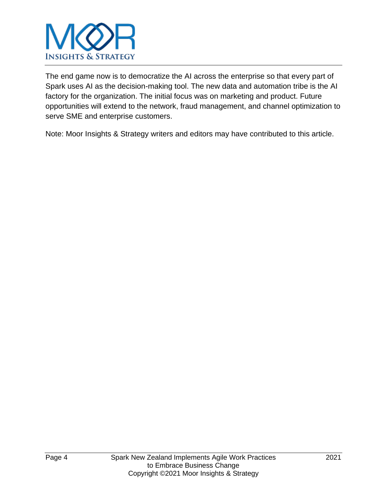

The end game now is to democratize the AI across the enterprise so that every part of Spark uses AI as the decision-making tool. The new data and automation tribe is the AI factory for the organization. The initial focus was on marketing and product. Future opportunities will extend to the network, fraud management, and channel optimization to serve SME and enterprise customers.

Note: Moor Insights & Strategy writers and editors may have contributed to this article.